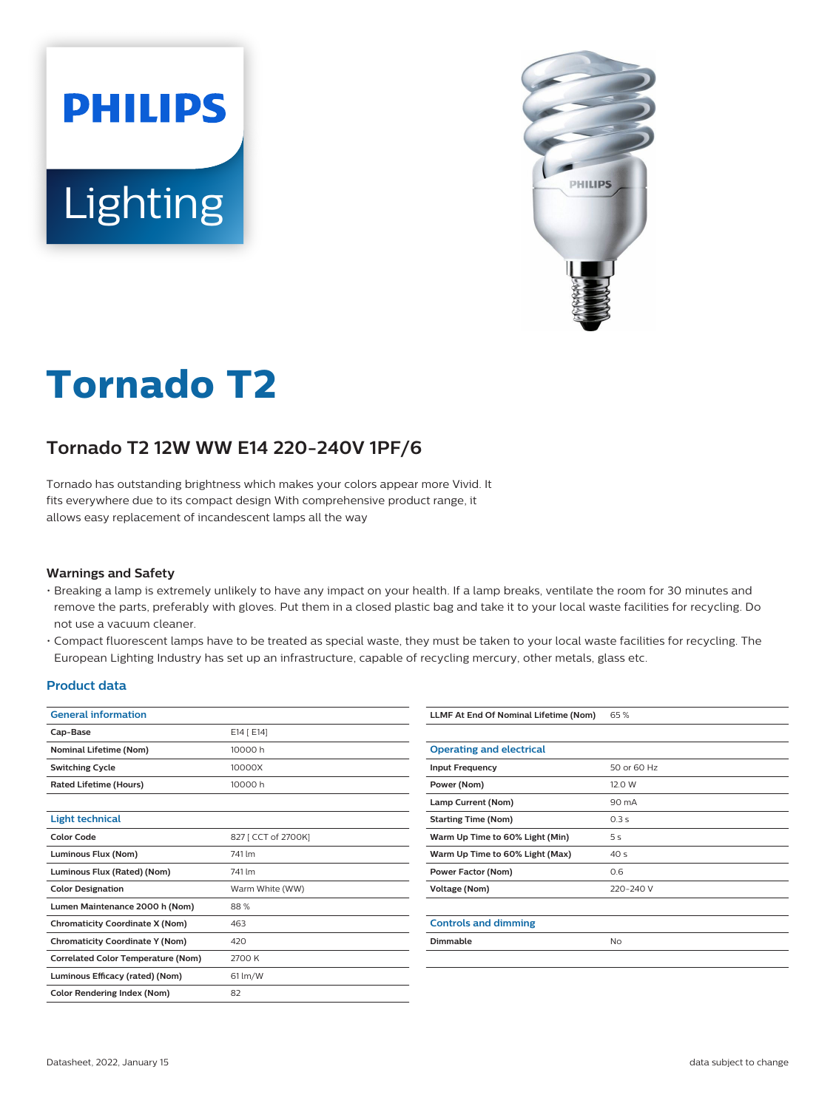



# **Tornado T2**

## **Tornado T2 12W WW E14 220-240V 1PF/6**

Tornado has outstanding brightness which makes your colors appear more Vivid. It fits everywhere due to its compact design With comprehensive product range, it allows easy replacement of incandescent lamps all the way

#### **Warnings and Safety**

- Breaking a lamp is extremely unlikely to have any impact on your health. If a lamp breaks, ventilate the room for 30 minutes and remove the parts, preferably with gloves. Put them in a closed plastic bag and take it to your local waste facilities for recycling. Do not use a vacuum cleaner.
- Compact fluorescent lamps have to be treated as special waste, they must be taken to your local waste facilities for recycling. The European Lighting Industry has set up an infrastructure, capable of recycling mercury, other metals, glass etc.

#### **Product data**

| <b>General information</b>                |                     |  |  |  |
|-------------------------------------------|---------------------|--|--|--|
| Cap-Base                                  | E14 [ E14]          |  |  |  |
| <b>Nominal Lifetime (Nom)</b>             | 10000 h             |  |  |  |
| <b>Switching Cycle</b>                    | 10000X              |  |  |  |
| <b>Rated Lifetime (Hours)</b>             | 10000 h             |  |  |  |
|                                           |                     |  |  |  |
| <b>Light technical</b>                    |                     |  |  |  |
| <b>Color Code</b>                         | 827 [ CCT of 2700K] |  |  |  |
| Luminous Flux (Nom)                       | 741 lm              |  |  |  |
| Luminous Flux (Rated) (Nom)               | 741 lm              |  |  |  |
| <b>Color Designation</b>                  | Warm White (WW)     |  |  |  |
| Lumen Maintenance 2000 h (Nom)            | 88%                 |  |  |  |
| <b>Chromaticity Coordinate X (Nom)</b>    | 463                 |  |  |  |
| <b>Chromaticity Coordinate Y (Nom)</b>    | 420                 |  |  |  |
| <b>Correlated Color Temperature (Nom)</b> | 2700 K              |  |  |  |
| Luminous Efficacy (rated) (Nom)           | $61 \, \text{Im/W}$ |  |  |  |
| <b>Color Rendering Index (Nom)</b>        | 82                  |  |  |  |
|                                           |                     |  |  |  |

| LLMF At End Of Nominal Lifetime (Nom) | 65%             |
|---------------------------------------|-----------------|
|                                       |                 |
| <b>Operating and electrical</b>       |                 |
| <b>Input Frequency</b>                | 50 or 60 Hz     |
| Power (Nom)                           | 12.0 W          |
| Lamp Current (Nom)                    | 90 mA           |
| <b>Starting Time (Nom)</b>            | 0.3s            |
| Warm Up Time to 60% Light (Min)       | 5s              |
| Warm Up Time to 60% Light (Max)       | 40 <sub>s</sub> |
| Power Factor (Nom)                    | 0.6             |
| Voltage (Nom)                         | 220-240 V       |
|                                       |                 |
| <b>Controls and dimming</b>           |                 |
| <b>Dimmable</b>                       | <b>No</b>       |
|                                       |                 |